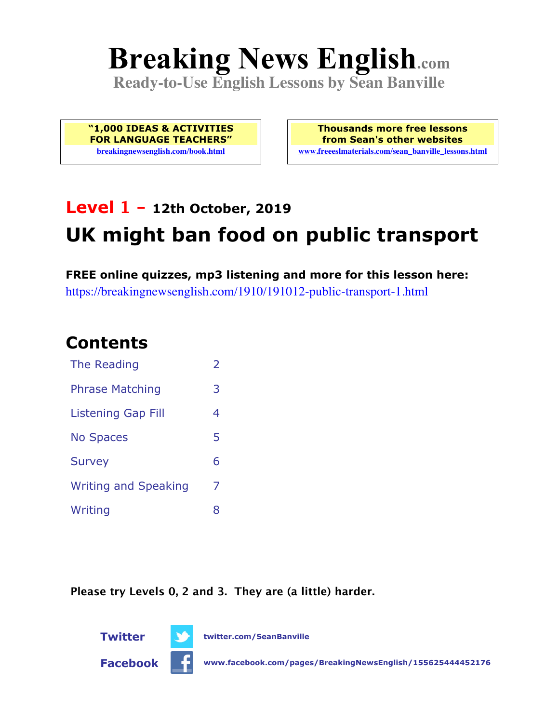# **Breaking News English.com**

**Ready-to-Use English Lessons by Sean Banville**

**"1,000 IDEAS & ACTIVITIES FOR LANGUAGE TEACHERS" breakingnewsenglish.com/book.html**

**Thousands more free lessons from Sean's other websites www.freeeslmaterials.com/sean\_banville\_lessons.html**

## **Level 1 - 12th October, 2019 UK might ban food on public transport**

**FREE online quizzes, mp3 listening and more for this lesson here:** https://breakingnewsenglish.com/1910/191012-public-transport-1.html

#### **Contents**

| The Reading                 | $\overline{\phantom{a}}$ |
|-----------------------------|--------------------------|
| <b>Phrase Matching</b>      | 3                        |
| Listening Gap Fill          | 4                        |
| <b>No Spaces</b>            | 5                        |
| <b>Survey</b>               | 6                        |
| <b>Writing and Speaking</b> | 7                        |
| Writing                     | 8                        |

**Please try Levels 0, 2 and 3. They are (a little) harder.**



**Twitter twitter.com/SeanBanville**

**Facebook www.facebook.com/pages/BreakingNewsEnglish/155625444452176**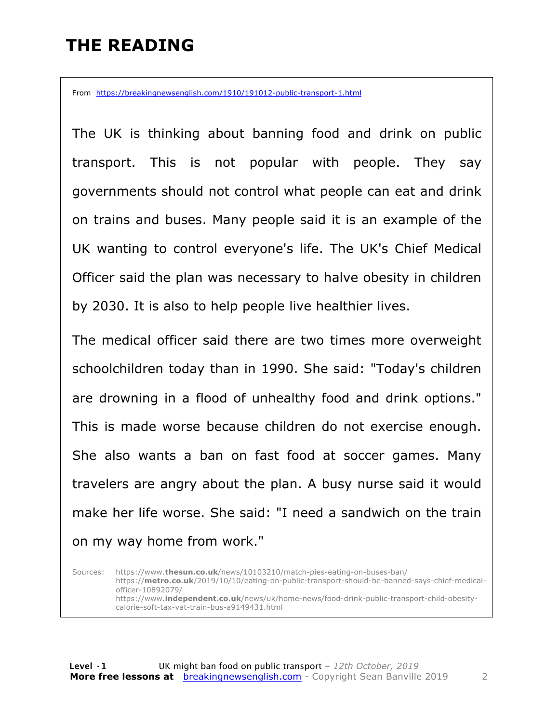#### **THE READING**

From https://breakingnewsenglish.com/1910/191012-public-transport-1.html

The UK is thinking about banning food and drink on public transport. This is not popular with people. They say governments should not control what people can eat and drink on trains and buses. Many people said it is an example of the UK wanting to control everyone's life. The UK's Chief Medical Officer said the plan was necessary to halve obesity in children by 2030. It is also to help people live healthier lives.

The medical officer said there are two times more overweight schoolchildren today than in 1990. She said: "Today's children are drowning in a flood of unhealthy food and drink options." This is made worse because children do not exercise enough. She also wants a ban on fast food at soccer games. Many travelers are angry about the plan. A busy nurse said it would make her life worse. She said: "I need a sandwich on the train on my way home from work."

Sources: https://www.**thesun.co.uk**/news/10103210/match-pies-eating-on-buses-ban/ https://**metro.co.uk**/2019/10/10/eating-on-public-transport-should-be-banned-says-chief-medicalofficer-10892079/ https://www.**independent.co.uk**/news/uk/home-news/food-drink-public-transport-child-obesitycalorie-soft-tax-vat-train-bus-a9149431.html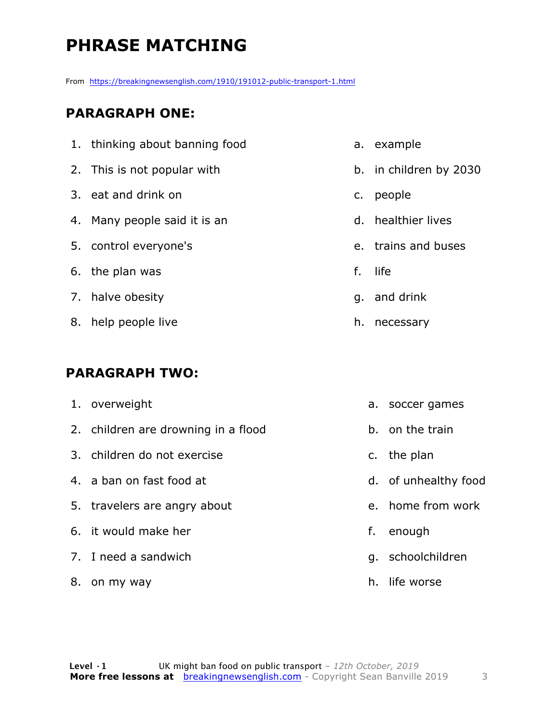## **PHRASE MATCHING**

From https://breakingnewsenglish.com/1910/191012-public-transport-1.html

#### **PARAGRAPH ONE:**

| 1. thinking about banning food |    | a. example             |
|--------------------------------|----|------------------------|
| 2. This is not popular with    |    | b. in children by 2030 |
| 3. eat and drink on            | C. | people                 |
| 4. Many people said it is an   |    | d. healthier lives     |
| 5. control everyone's          |    | e. trains and buses    |
| 6. the plan was                | f. | life                   |
| 7. halve obesity               |    | g. and drink           |
| 8. help people live            | h. | necessary              |

#### **PARAGRAPH TWO:**

|    | 1. overweight                       | а.            | soccer games         |
|----|-------------------------------------|---------------|----------------------|
|    | 2. children are drowning in a flood |               | b. on the train      |
|    | 3. children do not exercise         | $C_{\bullet}$ | the plan             |
|    | 4. a ban on fast food at            |               | d. of unhealthy food |
|    | 5. travelers are angry about        | $e_{1}$       | home from work       |
|    | 6. it would make her                | f.            | enough               |
|    | 7. I need a sandwich                | q.            | schoolchildren       |
| 8. | on my way                           | h.            | life worse           |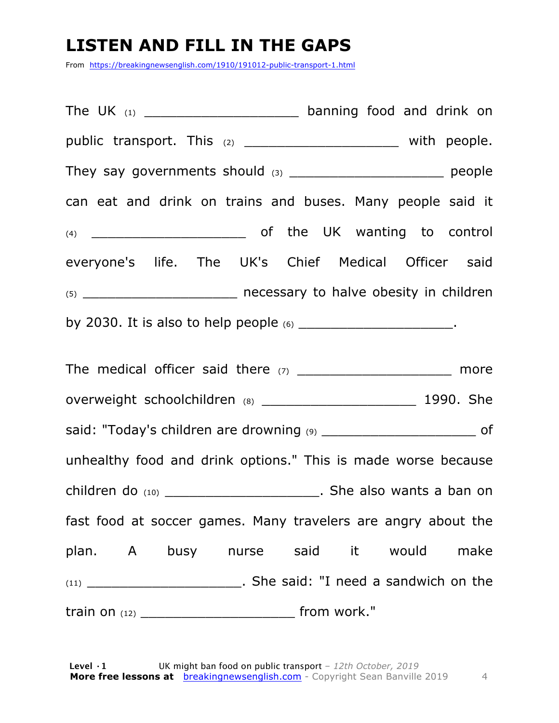#### **LISTEN AND FILL IN THE GAPS**

From https://breakingnewsenglish.com/1910/191012-public-transport-1.html

The UK  $_{(1)}$  and the UK  $_{(1)}$  banning food and drink on public transport. This (2) \_\_\_\_\_\_\_\_\_\_\_\_\_\_\_\_\_\_\_\_\_\_\_ with people. They say governments should (3) \_\_\_\_\_\_\_\_\_\_\_\_\_\_\_\_\_\_\_\_\_\_\_\_\_\_ people can eat and drink on trains and buses. Many people said it (4) \_\_\_\_\_\_\_\_\_\_\_\_\_\_\_\_\_\_\_ of the UK wanting to control everyone's life. The UK's Chief Medical Officer said (5) \_\_\_\_\_\_\_\_\_\_\_\_\_\_\_\_\_\_\_ necessary to halve obesity in children by 2030. It is also to help people  $(6)$  \_\_\_\_\_\_\_\_\_\_\_\_\_\_\_\_\_\_\_\_\_.

The medical officer said there  $(7)$  \_\_\_\_\_\_\_\_\_\_\_\_\_\_\_\_\_\_\_\_\_\_\_\_ more overweight schoolchildren (8) \_\_\_\_\_\_\_\_\_\_\_\_\_\_\_\_\_\_\_\_\_\_\_\_\_\_\_\_\_\_ 1990. She said: "Today's children are drowning (9) \_\_\_\_\_\_\_\_\_\_\_\_\_\_\_\_\_\_\_\_\_\_\_\_\_\_\_\_ of unhealthy food and drink options." This is made worse because children do  $(10)$  \_\_\_\_\_\_\_\_\_\_\_\_\_\_\_\_\_\_\_\_\_\_\_\_\_\_\_. She also wants a ban on fast food at soccer games. Many travelers are angry about the plan. A busy nurse said it would make (11) \_\_\_\_\_\_\_\_\_\_\_\_\_\_\_\_\_\_\_. She said: "I need a sandwich on the train on  $(12)$  from work."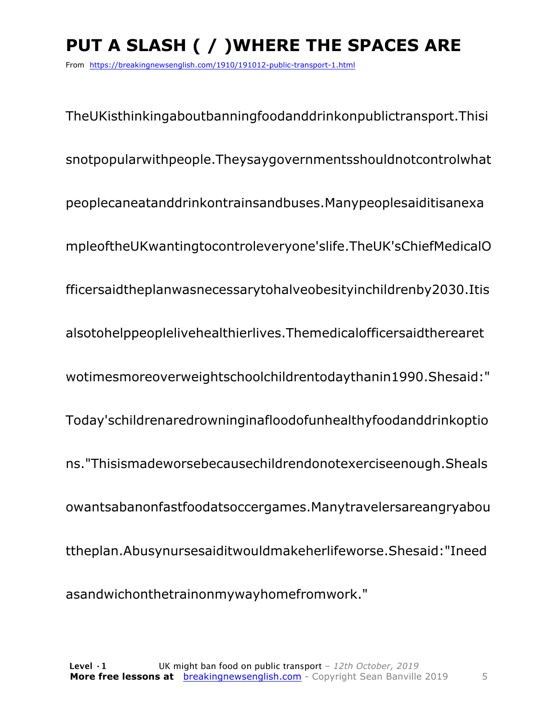## **PUT A SLASH ( / )WHERE THE SPACES ARE**

From https://breakingnewsenglish.com/1910/191012-public-transport-1.html

TheUKisthinkingaboutbanningfoodanddrinkonpublictransport.Thisi snotpopularwithpeople.Theysaygovernmentsshouldnotcontrolwhat peoplecaneatanddrinkontrainsandbuses.Manypeoplesaiditisanexa mpleoftheUKwantingtocontroleveryone'slife.TheUK'sChiefMedicalO fficersaidtheplanwasnecessarytohalveobesityinchildrenby2030.Itis alsotohelppeoplelivehealthierlives.Themedicalofficersaidtherearet wotimesmoreoverweightschoolchildrentodaythanin1990.Shesaid:" Today'schildrenaredrowninginafloodofunhealthyfoodanddrinkoptio ns."Thisismadeworsebecausechildrendonotexerciseenough.Sheals owantsabanonfastfoodatsoccergames.Manytravelersareangryabou ttheplan.Abusynursesaiditwouldmakeherlifeworse.Shesaid:"Ineed asandwichonthetrainonmywayhomefromwork."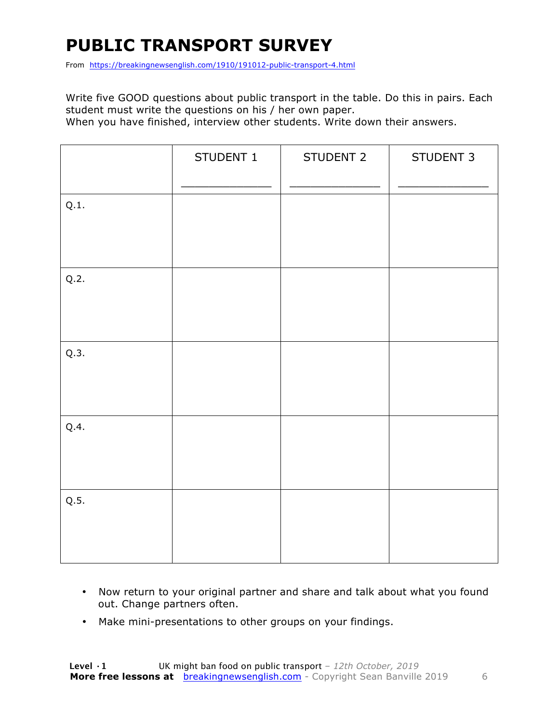#### **PUBLIC TRANSPORT SURVEY**

From https://breakingnewsenglish.com/1910/191012-public-transport-4.html

Write five GOOD questions about public transport in the table. Do this in pairs. Each student must write the questions on his / her own paper.

When you have finished, interview other students. Write down their answers.

|      | STUDENT 1 | STUDENT 2 | STUDENT 3 |
|------|-----------|-----------|-----------|
| Q.1. |           |           |           |
| Q.2. |           |           |           |
| Q.3. |           |           |           |
| Q.4. |           |           |           |
| Q.5. |           |           |           |

- Now return to your original partner and share and talk about what you found out. Change partners often.
- Make mini-presentations to other groups on your findings.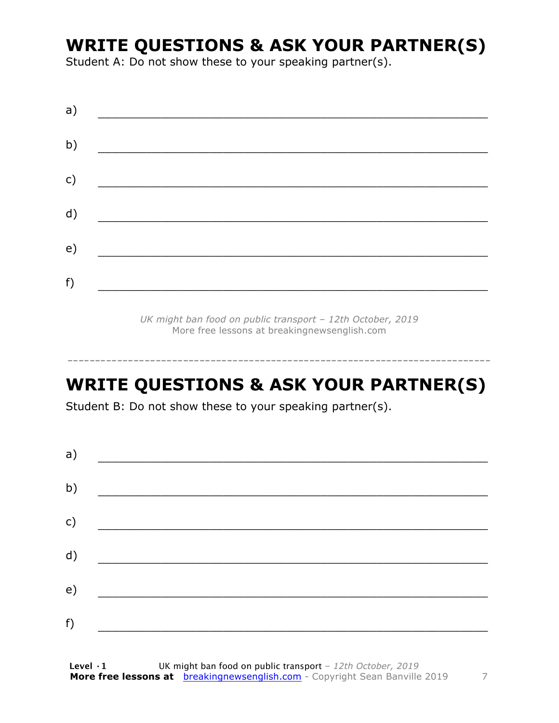#### **WRITE QUESTIONS & ASK YOUR PARTNER(S)**

Student A: Do not show these to your speaking partner(s).

*UK might ban food on public transport – 12th October, 2019* More free lessons at breakingnewsenglish.com

#### **WRITE QUESTIONS & ASK YOUR PARTNER(S)**

-----------------------------------------------------------------------------

Student B: Do not show these to your speaking partner(s).

| a) |  |  |
|----|--|--|
| b) |  |  |
| c) |  |  |
| d) |  |  |
| e) |  |  |
| f) |  |  |
|    |  |  |